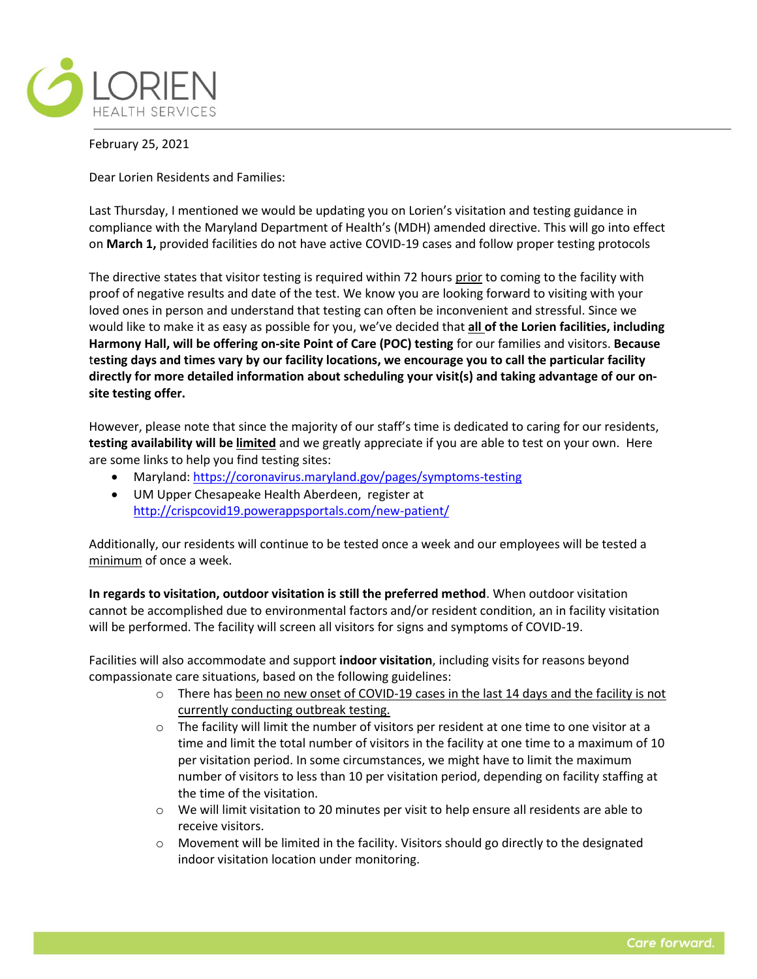

February 25, 2021

Dear Lorien Residents and Families:

Last Thursday, I mentioned we would be updating you on Lorien's visitation and testing guidance in compliance with the Maryland Department of Health's (MDH) amended directive. This will go into effect on **March 1,** provided facilities do not have active COVID-19 cases and follow proper testing protocols

The directive states that visitor testing is required within 72 hours prior to coming to the facility with proof of negative results and date of the test. We know you are looking forward to visiting with your loved ones in person and understand that testing can often be inconvenient and stressful. Since we would like to make it as easy as possible for you, we've decided that **all of the Lorien facilities, including Harmony Hall, will be offering on-site Point of Care (POC) testing** for our families and visitors. **Because** t**esting days and times vary by our facility locations, we encourage you to call the particular facility directly for more detailed information about scheduling your visit(s) and taking advantage of our onsite testing offer.** 

However, please note that since the majority of our staff's time is dedicated to caring for our residents, **testing availability will be limited** and we greatly appreciate if you are able to test on your own.Here are some links to help you find testing sites:

- Maryland:<https://coronavirus.maryland.gov/pages/symptoms-testing>
- UM Upper Chesapeake Health Aberdeen, register at <http://crispcovid19.powerappsportals.com/new-patient/>

Additionally, our residents will continue to be tested once a week and our employees will be tested a minimum of once a week.

**In regards to visitation, outdoor visitation is still the preferred method**. When outdoor visitation cannot be accomplished due to environmental factors and/or resident condition, an in facility visitation will be performed. The facility will screen all visitors for signs and symptoms of COVID-19.

Facilities will also accommodate and support **indoor visitation**, including visits for reasons beyond compassionate care situations, based on the following guidelines:

- o There has been no new onset of COVID-19 cases in the last 14 days and the facility is not currently conducting outbreak testing.
- $\circ$  The facility will limit the number of visitors per resident at one time to one visitor at a time and limit the total number of visitors in the facility at one time to a maximum of 10 per visitation period. In some circumstances, we might have to limit the maximum number of visitors to less than 10 per visitation period, depending on facility staffing at the time of the visitation.
- o We will limit visitation to 20 minutes per visit to help ensure all residents are able to receive visitors.
- o Movement will be limited in the facility. Visitors should go directly to the designated indoor visitation location under monitoring.